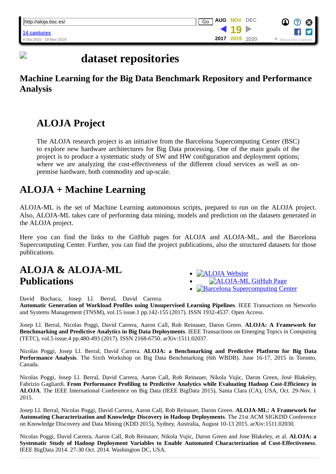# **dataset repositories**

### **Machine Learning for the Big Data Benchmark Repository and Performance Analysis**

### **ALOJA Project**

D

The ALOJA research project is an initiative from the Barcelona Supercomputing Center (BSC) to explore new hardware architectures for Big Data processing. One of the main goals of the project is to produce a systematic study of SW and HW configuration and deployment options; where we are analyzing the cost-effectiveness of the different cloud services as well as onpremise hardware, both commodity and up-scale.

### **ALOJA + Machine Learning**

ALOJA-ML is the set of Machine Learning autonomous scripts, prepared to run on the ALOJA project. Also, ALOJA-ML takes care of performing data mining, models and prediction on the datasets generated in the ALOJA project.

Here you can find the links to the GitHub pages for ALOJA and ALOJA-ML, and the Barcelona Supercomputing Center. Further, you can find the project publications, also the structured datasets for those publications.

### **ALOJA & ALOJA-ML Publications**

- [ALOJA Website](https://web.archive.org/web/20191119023906/https://github.com/Aloja/aloja)
- [ALOJA-ML GitHub Page](https://web.archive.org/web/20191119023906/https://github.com/Aloja/aloja-ml)
- [Barcelona Supercomputing Center](https://web.archive.org/web/20191119023906/http://www.bsc.es/)

David Buchaca, Josep Ll. Berral, David Carrera. **Automatic Generation of Workload Profiles using Unsupervised Learning Pipelines**. IEEE Transactions on Networks and Systems Management (TNSM), vol.15 issue.1 pp.142-155 (2017). ISSN 1932-4537. Open Access.

Josep Ll. Berral, Nicolas Poggi, David Carrera, Aaron Call, Rob Reinauer, Daron Green. **ALOJA: A Framework for Benchmarking and Predictive Analytics in Big Data Deployments**. IEEE Transactions on Emerging Topics in Computing (TETC), vol.5 issue.4 pp.480-493 (2017). ISSN 2168-6750. arXiv:1511.02037.

Nicolas Poggi, Josep Ll. Berral, David Carrera. **ALOJA: a Benchmarking and Predictive Platform for Big Data Performance Analysis**. The Sixth Workshop on Big Data Benchmarking (6th WBDB). June 16-17, 2015 in Toronto, Canada.

Nicolas Poggi, Josep Ll. Berral, David Carrera, Aaron Call, Rob Reinauer, Nikola Vujic, Daron Green, José Blakeley, Fabrizio Gagliardi. **From Performance Profiling to Predictive Analytics while Evaluating Hadoop Cost-Efficiency in ALOJA**. The IEEE International Conference on Big Data (IEEE BigData 2015), Santa Clara (CA), USA, Oct. 29-Nov. 1 2015.

Josep Ll. Berral, Nicolas Poggi, David Carrera, Aaron Call, Rob Reinauer, Daron Green. **ALOJA-ML: A Framework for Automating Characterization and Knowledge Discovery in Hadoop Deployments**. The 21st ACM SIGKDD Conference on Knowledge Discovery and Data Mining (KDD 2015), Sydney, Australia, August 10-13 2015. arXiv:1511.02030.

Nicolas Poggi, David Carrera, Aaron Call, Rob Reinauer, Nikola Vujic, Daron Green and Jose Blakeley, et al. **ALOJA: a Systematic Study of Hadoop Deployment Variables to Enable Automated Characterization of Cost-Effectiveness**. IEEE BigData 2014. 27-30 Oct. 2014. Washington DC, USA.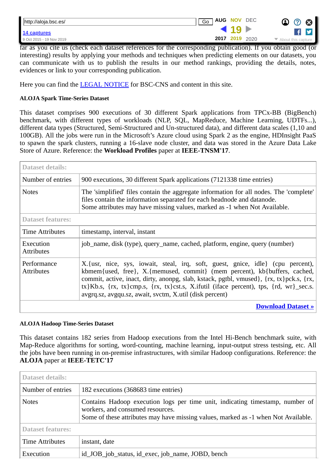| http://aloja.bsc.es/     | <b>AUG NOV DEC</b><br>Go<br>$\bm{\Omega}$                     | $\boldsymbol{\alpha}$ |
|--------------------------|---------------------------------------------------------------|-----------------------|
| 14 captures              |                                                               |                       |
| 9 Oct 2015 - 19 Nov 2019 | 2017 2019<br>2020<br>$\blacktriangleright$ About this capture |                       |
| $\bullet$ .              | T<br>$\cdots$<br>--                                           |                       |

far as you cite us (check each dataset references for the corresponding publication). If you obtain good (or interesting) results by applying your methods and techniques when predicting elements on our datasets, you can communicate with us to publish the results in our method rankings, providing the details, notes, evidences or link to your corresponding publication.

Here you can find the **LEGAL NOTICE** for BSC-CNS and content in this site.

#### **ALOJA Spark Time-Series Dataset**

This dataset comprises 900 executions of 30 different Spark applications from TPCx-BB (BigBench) benchmark, with different types of workloads (NLP, SQL, MapReduce, Machine Learning, UDTFs...), different data types (Structured, Semi-Structured and Un-structured data), and different data scales (1,10 and 100GB). All the jobs were run in the Microsoft's Azure cloud using Spark 2 as the engine, HDInsight PaaS to spawn the spark clusters, running a 16-slave node cluster, and data was stored in the Azure Data Lake Store of Azure. Reference: the **Workload Profiles** paper at **IEEE-TNSM'17**.

| <b>Dataset details:</b>          |                                                                                                                                                                                                                                                                                                                                                                                                              |
|----------------------------------|--------------------------------------------------------------------------------------------------------------------------------------------------------------------------------------------------------------------------------------------------------------------------------------------------------------------------------------------------------------------------------------------------------------|
| Number of entries                | 900 executions, 30 different Spark applications (7121338 time entries)                                                                                                                                                                                                                                                                                                                                       |
| <b>Notes</b>                     | The 'simplified' files contain the aggregate information for all nodes. The 'complete'<br>files contain the information separated for each headnode and datanode.<br>Some attributes may have missing values, marked as -1 when Not Available.                                                                                                                                                               |
| <b>Dataset features:</b>         |                                                                                                                                                                                                                                                                                                                                                                                                              |
| <b>Time Attributes</b>           | timestamp, interval, instant                                                                                                                                                                                                                                                                                                                                                                                 |
| Execution<br><b>Attributes</b>   | job_name, disk (type), query_name, cached, platform, engine, query (number)                                                                                                                                                                                                                                                                                                                                  |
| Performance<br><b>Attributes</b> | X. {usr, nice, sys, iowait, steal, irq, soft, guest, gnice, idle} (cpu percent),<br>kbmem{used, free}, X.{memused, commit} (mem percent), kb{buffers, cached,<br>commit, active, inact, dirty, anonpg, slab, kstack, pgtbl, vmused}, {rx, tx}pck.s, {rx,<br>tx}Kb.s, {rx, tx}cmp.s, {rx, tx}cst.s, X.ifutil (iface percent), tps, {rd, wr}_sec.s.<br>avgrq.sz, avgqu.sz, await, svctm, X.util (disk percent) |
|                                  | <b>Download Dataset »</b>                                                                                                                                                                                                                                                                                                                                                                                    |

#### **ALOJA Hadoop Time-Series Dataset**

This dataset contains 182 series from Hadoop executions from the Intel Hi-Bench benchmark suite, with Map-Reduce algorithms for sorting, word-counting, machine learning, input-output stress testsing, etc. All the jobs have been running in on-premise infrastructures, with similar Hadoop configurations. Reference: the **ALOJA** paper at **IEEE-TETC'17**

| Dataset details:         |                                                                                                                                                                                                         |
|--------------------------|---------------------------------------------------------------------------------------------------------------------------------------------------------------------------------------------------------|
| Number of entries        | 182 executions (368683 time entries)                                                                                                                                                                    |
| <b>Notes</b>             | Contains Hadoop execution logs per time unit, indicating timestamp, number of<br>workers, and consumed resources.<br>Some of these attributes may have missing values, marked as -1 when Not Available. |
| <b>Dataset features:</b> |                                                                                                                                                                                                         |
| <b>Time Attributes</b>   | instant, date                                                                                                                                                                                           |
| Execution                | id_JOB_job_status, id_exec, job_name, JOBD, bench                                                                                                                                                       |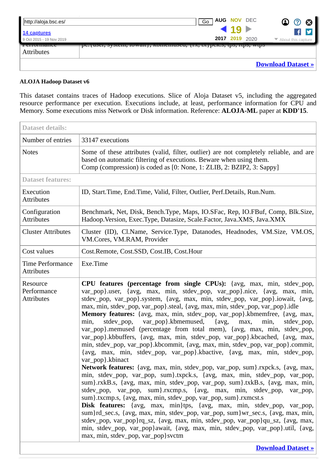| http://aloja.bsc.es/     | <b>AUG NOV DEC</b><br>$\bf \Omega$<br>Go<br>$\bm{\bm{\mathrm{O}}}$<br>$\boldsymbol{\Omega}$ |
|--------------------------|---------------------------------------------------------------------------------------------|
| 14 captures              | $-19$<br>y                                                                                  |
| 9 Oct 2015 - 19 Nov 2019 | 2017 2019 2020<br>$\blacktriangleright$ About this capture                                  |
| Terrormance              | pc. usel, system, lowalt;, kuniemused, {1x, tx; pck.s, tps, ltps, wtps                      |
| <b>Attributes</b>        |                                                                                             |
|                          | <b>Download Dataset »</b>                                                                   |

#### **ALOJA Hadoop Dataset v6**

This dataset contains traces of Hadoop executions. Slice of Aloja Dataset v5, including the aggregated resource performance per execution. Executions include, at least, performance information for CPU and Memory. Some executions miss Network or Disk information. Reference: **ALOJA-ML** paper at **KDD'15**.

| <b>Dataset details:</b>                      |                                                                                                                                                                                                                                                                                                                                                                                                                                                                                                                                                                                                                                                                                                                                                                                                                                                                                                                                                                                                                                                                                                                                                                                                                                                                                                                                                                                                                                                                                                                                                                                                                                           |
|----------------------------------------------|-------------------------------------------------------------------------------------------------------------------------------------------------------------------------------------------------------------------------------------------------------------------------------------------------------------------------------------------------------------------------------------------------------------------------------------------------------------------------------------------------------------------------------------------------------------------------------------------------------------------------------------------------------------------------------------------------------------------------------------------------------------------------------------------------------------------------------------------------------------------------------------------------------------------------------------------------------------------------------------------------------------------------------------------------------------------------------------------------------------------------------------------------------------------------------------------------------------------------------------------------------------------------------------------------------------------------------------------------------------------------------------------------------------------------------------------------------------------------------------------------------------------------------------------------------------------------------------------------------------------------------------------|
| Number of entries                            | 33147 executions                                                                                                                                                                                                                                                                                                                                                                                                                                                                                                                                                                                                                                                                                                                                                                                                                                                                                                                                                                                                                                                                                                                                                                                                                                                                                                                                                                                                                                                                                                                                                                                                                          |
| <b>Notes</b>                                 | Some of these attributes (valid, filter, outlier) are not completely reliable, and are<br>based on automatic filtering of executions. Beware when using them.<br>Comp (compression) is coded as [0: None, 1: ZLIB, 2: BZIP2, 3: Sappy]                                                                                                                                                                                                                                                                                                                                                                                                                                                                                                                                                                                                                                                                                                                                                                                                                                                                                                                                                                                                                                                                                                                                                                                                                                                                                                                                                                                                    |
| <b>Dataset features:</b>                     |                                                                                                                                                                                                                                                                                                                                                                                                                                                                                                                                                                                                                                                                                                                                                                                                                                                                                                                                                                                                                                                                                                                                                                                                                                                                                                                                                                                                                                                                                                                                                                                                                                           |
| Execution<br><b>Attributes</b>               | ID, Start.Time, End.Time, Valid, Filter, Outlier, Perf.Details, Run.Num.                                                                                                                                                                                                                                                                                                                                                                                                                                                                                                                                                                                                                                                                                                                                                                                                                                                                                                                                                                                                                                                                                                                                                                                                                                                                                                                                                                                                                                                                                                                                                                  |
| Configuration<br><b>Attributes</b>           | Benchmark, Net, Disk, Bench.Type, Maps, IO.SFac, Rep, IO.FBuf, Comp, Blk.Size,<br>Hadoop. Version, Exec. Type, Datasize, Scale. Factor, Java. XMS, Java. XMX                                                                                                                                                                                                                                                                                                                                                                                                                                                                                                                                                                                                                                                                                                                                                                                                                                                                                                                                                                                                                                                                                                                                                                                                                                                                                                                                                                                                                                                                              |
| <b>Cluster Attributes</b>                    | Cluster (ID), Cl.Name, Service.Type, Datanodes, Headnodes, VM.Size, VM.OS,<br>VM.Cores, VM.RAM, Provider                                                                                                                                                                                                                                                                                                                                                                                                                                                                                                                                                                                                                                                                                                                                                                                                                                                                                                                                                                                                                                                                                                                                                                                                                                                                                                                                                                                                                                                                                                                                  |
| Cost values                                  | Cost.Remote, Cost.SSD, Cost.IB, Cost.Hour                                                                                                                                                                                                                                                                                                                                                                                                                                                                                                                                                                                                                                                                                                                                                                                                                                                                                                                                                                                                                                                                                                                                                                                                                                                                                                                                                                                                                                                                                                                                                                                                 |
| <b>Time Performance</b><br><b>Attributes</b> | Exe.Time                                                                                                                                                                                                                                                                                                                                                                                                                                                                                                                                                                                                                                                                                                                                                                                                                                                                                                                                                                                                                                                                                                                                                                                                                                                                                                                                                                                                                                                                                                                                                                                                                                  |
| Resource<br>Performance<br><b>Attributes</b> | CPU features (percentage from single CPUs): {avg, max, min, stdev_pop,<br>var_pop}.user, {avg, max, min, stdev_pop, var_pop}.nice, {avg, max, min,<br>stdev_pop, var_pop}.system, {avg, max, min, stdev_pop, var_pop}.iowait, {avg,<br>max, min, stdev_pop, var_pop}.steal, {avg, max, min, stdev_pop, var_pop}.idle<br>Memory features: {avg, max, min, stdev_pop, var_pop}.kbmemfree, {avg, max,<br>var_pop}.kbmemused,<br>$\{avg,$<br>max,<br>min,<br>stdev_pop,<br>min,<br>stdev_pop,<br>var_pop}.memused (percentage from total mem), {avg, max, min, stdev_pop,<br>var_pop}.kbbuffers, {avg, max, min, stdev_pop, var_pop}.kbcached, {avg, max,<br>min, stdev_pop, var_pop}.kbcommit, {avg, max, min, stdev_pop, var_pop}.commit,<br>{avg, max, min, stdev_pop, var_pop}.kbactive, {avg, max, min, stdev_pop,<br>var_pop}.kbinact<br>Network features: {avg, max, min, stdev_pop, var_pop, sum}.rxpck.s, {avg, max,<br>min, stdev_pop, var_pop, sum}.txpck.s, {avg, max, min, stdev_pop, var_pop,<br>sum}.rxkB.s, {avg, max, min, stdev_pop, var_pop, sum}.txkB.s, {avg, max, min,<br>stdev_pop, var_pop, sum}.rxcmp.s, {avg, max, min, stdev_pop, var_pop,<br>sum}.txcmp.s, {avg, max, min, stdev_pop, var_pop, sum}.rxmcst.s<br>Disk features: {avg, max, min}tps, {avg, max, min, stdev_pop, var_pop,<br>sum}rd_sec.s, {avg, max, min, stdev_pop, var_pop, sum}wr_sec.s, {avg, max, min,<br>stdev_pop, var_pop}rq_sz, {avg, max, min, stdev_pop, var_pop}qu_sz, {avg, max,<br>min, stdev_pop, var_pop}await, {avg, max, min, stdev_pop, var_pop}.util, {avg,<br>max, min, stdev_pop, var_pop} svctm<br><b>Download Dataset »</b> |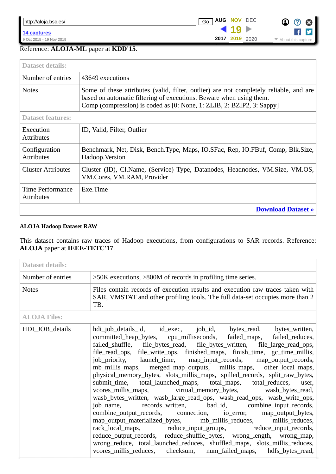**19**

**[2017](https://web.archive.org/web/20170803132854/http://aloja.bsc.es:80/) 2019** 2020

▶



### Reference: **ALOJA-ML** paper at **KDD'15**.

| <b>Dataset details:</b>               |                                                                                                                                                                                                                                        |
|---------------------------------------|----------------------------------------------------------------------------------------------------------------------------------------------------------------------------------------------------------------------------------------|
| Number of entries                     | 43649 executions                                                                                                                                                                                                                       |
| <b>Notes</b>                          | Some of these attributes (valid, filter, outlier) are not completely reliable, and are<br>based on automatic filtering of executions. Beware when using them.<br>Comp (compression) is coded as [0: None, 1: ZLIB, 2: BZIP2, 3: Sappy] |
| <b>Dataset features:</b>              |                                                                                                                                                                                                                                        |
| Execution<br><b>Attributes</b>        | ID, Valid, Filter, Outlier                                                                                                                                                                                                             |
| Configuration<br><b>Attributes</b>    | Benchmark, Net, Disk, Bench.Type, Maps, IO.SFac, Rep, IO.FBuf, Comp, Blk.Size,<br>Hadoop. Version                                                                                                                                      |
| <b>Cluster Attributes</b>             | Cluster (ID), Cl.Name, (Service) Type, Datanodes, Headnodes, VM.Size, VM.OS,<br>VM.Cores, VM.RAM, Provider                                                                                                                             |
| Time Performance<br><b>Attributes</b> | Exe.Time                                                                                                                                                                                                                               |
| <b>Download Dataset »</b>             |                                                                                                                                                                                                                                        |

#### **ALOJA Hadoop Dataset RAW**

This dataset contains raw traces of Hadoop executions, from configurations to SAR records. Reference: **ALOJA** paper at **IEEE-TETC'17**.

| <b>Dataset details:</b> |                                                                                                                                                                                                                                                                                                                                                                                                                                                                                                                                                                                                                                                                                                                                                                                                                                                                                                                                                                                                                                                                                                                                                                                                                                              |
|-------------------------|----------------------------------------------------------------------------------------------------------------------------------------------------------------------------------------------------------------------------------------------------------------------------------------------------------------------------------------------------------------------------------------------------------------------------------------------------------------------------------------------------------------------------------------------------------------------------------------------------------------------------------------------------------------------------------------------------------------------------------------------------------------------------------------------------------------------------------------------------------------------------------------------------------------------------------------------------------------------------------------------------------------------------------------------------------------------------------------------------------------------------------------------------------------------------------------------------------------------------------------------|
| Number of entries       | >50K executions, >800M of records in profiling time series.                                                                                                                                                                                                                                                                                                                                                                                                                                                                                                                                                                                                                                                                                                                                                                                                                                                                                                                                                                                                                                                                                                                                                                                  |
| <b>Notes</b>            | Files contain records of execution results and execution raw traces taken with<br>SAR, VMSTAT and other profiling tools. The full data-set occupies more than 2<br>TB.                                                                                                                                                                                                                                                                                                                                                                                                                                                                                                                                                                                                                                                                                                                                                                                                                                                                                                                                                                                                                                                                       |
| <b>ALOJA Files:</b>     |                                                                                                                                                                                                                                                                                                                                                                                                                                                                                                                                                                                                                                                                                                                                                                                                                                                                                                                                                                                                                                                                                                                                                                                                                                              |
| HDI_JOB_details         | hdi_job_details_id, id_exec, job_id, bytes_read, bytes_written,<br>committed_heap_bytes, cpu_milliseconds, failed_maps, failed_reduces,<br>failed_shuffle, file_bytes_read, file_bytes_written, file_large_read_ops,<br>file_read_ops, file_write_ops, finished_maps, finish_time, gc_time_millis,<br>job_priority, launch_time, map_input_records, map_output_records,<br>mb_millis_maps, merged_map_outputs, millis_maps, other_local_maps,<br>physical_memory_bytes, slots_millis_maps, spilled_records, split_raw_bytes,<br>submit_time, total_launched_maps, total_maps, total_reduces, user,<br>vcores_millis_maps, virtual_memory_bytes, wasb_bytes_read,<br>wasb_bytes_written, wasb_large_read_ops, wasb_read_ops, wasb_write_ops,<br>job_name, records_written, bad_id, combine_input_records,<br>combine_output_records, connection, io_error, map_output_bytes,<br>map_output_materialized_bytes, mb_millis_reduces, millis_reduces,<br>rack_local_maps, reduce_input_groups, reduce_input_records,<br>reduce_output_records, reduce_shuffle_bytes, wrong_length, wrong_map,<br>wrong_reduce, total_launched_reduces, shuffled_maps, slots_millis_reduces,<br>vcores_millis_reduces, checksum, num_failed_maps, hdfs_bytes_read, |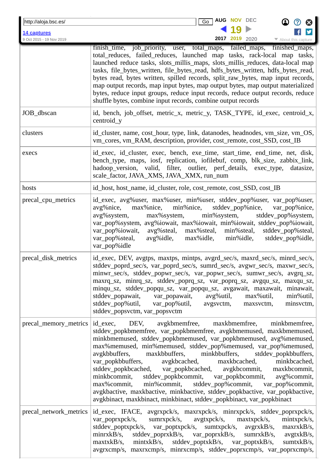| http://aloja.bsc.es/     | AUG NOV<br><b>DEC</b><br>$\overline{Go}$                                                                                                                                                                                                                                                                                                                                                                                                                                                                                                                                                                                                                                                                                                                                                  |
|--------------------------|-------------------------------------------------------------------------------------------------------------------------------------------------------------------------------------------------------------------------------------------------------------------------------------------------------------------------------------------------------------------------------------------------------------------------------------------------------------------------------------------------------------------------------------------------------------------------------------------------------------------------------------------------------------------------------------------------------------------------------------------------------------------------------------------|
| 14 captures              |                                                                                                                                                                                                                                                                                                                                                                                                                                                                                                                                                                                                                                                                                                                                                                                           |
| 9 Oct 2015 - 19 Nov 2019 | <b>2017 2019</b> 2020<br>$\blacktriangleright$ About this capture                                                                                                                                                                                                                                                                                                                                                                                                                                                                                                                                                                                                                                                                                                                         |
|                          | finished maps,<br>finish_time, job_priority, user, total_maps, failed_maps,<br>total reduces, failed reduces, launched map tasks, rack-local map tasks,<br>launched reduce tasks, slots_millis_maps, slots_millis_reduces, data-local map<br>tasks, file_bytes_written, file_bytes_read, hdfs_bytes_written, hdfs_bytes_read,<br>bytes read, bytes written, spilled records, split_raw_bytes, map input records,<br>map output records, map input bytes, map output bytes, map output materialized<br>bytes, reduce input groups, reduce input records, reduce output records, reduce<br>shuffle bytes, combine input records, combine output records                                                                                                                                     |
| JOB_dbscan               | id, bench, job_offset, metric_x, metric_y, TASK_TYPE, id_exec, centroid_x,<br>centroid_y                                                                                                                                                                                                                                                                                                                                                                                                                                                                                                                                                                                                                                                                                                  |
| clusters                 | id_cluster, name, cost_hour, type, link, datanodes, headnodes, vm_size, vm_OS,<br>vm_cores, vm_RAM, description, provider, cost_remote, cost_SSD, cost_IB                                                                                                                                                                                                                                                                                                                                                                                                                                                                                                                                                                                                                                 |
| execs                    | id_exec, id_cluster, exec, bench, exe_time, start_time, end_time, net, disk,<br>bench_type, maps, iosf, replication, iofilebuf, comp, blk_size, zabbix_link,<br>hadoop_version, valid, filter, outlier, perf_details, exec_type,<br>datasize,<br>scale_factor, JAVA_XMS, JAVA_XMX, run_num                                                                                                                                                                                                                                                                                                                                                                                                                                                                                                |
| hosts                    | id_host, host_name, id_cluster, role, cost_remote, cost_SSD, cost_IB                                                                                                                                                                                                                                                                                                                                                                                                                                                                                                                                                                                                                                                                                                                      |
| precal_cpu_metrics       | id_exec, avg%user, max%user, min%user, stddev_pop%user, var_pop%user,<br>max%nice,<br>min%nice,<br>stddev_pop%nice,<br>var_pop%nice,<br>avg%nice,<br>avg%system,<br>min%system,<br>max%system,<br>stddev_pop%system,<br>var_pop%system, avg%iowait, max%iowait, min%iowait, stddev_pop%iowait,<br>var_pop%iowait,<br>avg%steal, max%steal,<br>min%steal,<br>stddev_pop%steal,<br>var_pop%steal,<br>avg%idle, max%idle,<br>min%idle,<br>stddev_pop%idle,<br>var_pop%idle                                                                                                                                                                                                                                                                                                                   |
| precal_disk_metrics      | id_exec, DEV, avgtps, maxtps, mintps, avgrd_sec/s, maxrd_sec/s, minrd_sec/s,<br>stddev_poprd_sec/s, var_poprd_sec/s, sumrd_sec/s, avgwr_sec/s, maxwr_sec/s,<br>minwr_sec/s, stddev_popwr_sec/s, var_popwr_sec/s, sumwr_sec/s, avgrq_sz,<br>maxrq_sz, minrq_sz, stddev_poprq_sz, var_poprq_sz, avgqu_sz, maxqu_sz,<br>minqu_sz, stddev_popqu_sz, var_popqu_sz, avgawait, maxawait, minawait,<br>min%util,<br>stddev_popawait, var_popawait, avg%util, max%util,<br>stddev_pop%util, var_pop%util, avgsvctm, maxsvctm,<br>minsvctm,<br>stddev_popsvctm, var_popsvctm                                                                                                                                                                                                                        |
|                          | precal_memory_metrics   id_exec, DEV, avgkbmemfree, maxkbmemfree, minkbmemfree,<br>stddev_popkbmemfree, var_popkbmemfree, avgkbmemused, maxkbmemused,<br>minkbmemused, stddev_popkbmemused, var_popkbmemused, avg%memused,<br>max%memused, min%memused, stddev_pop%memused, var_pop%memused,<br>avgkbbuffers,<br>maxkbbuffers, minkbbuffers,<br>stddev_popkbbuffers,<br>var_popkbbuffers, avgkbcached, maxkbcached, minkbcached, stddev_popkbcached, var_popkbcached, avgkbcommit, maxkbcommit,<br>minkbcommit, stddev_popkbcommit, var_popkbcommit, avg%commit,<br>max%commit,<br>min%commit, stddev_pop%commit, var_pop%commit,<br>avgkbactive, maxkbactive, minkbactive, stddev_popkbactive, var_popkbactive,<br>avgkbinact, maxkbinact, minkbinact, stddev_popkbinact, var_popkbinact |
| precal_network_metrics   | id_exec, IFACE, avgrxpck/s, maxrxpck/s, minrxpck/s, stddev_poprxpck/s,<br>var_poprxpck/s, sumrxpck/s, avgtxpck/s, maxtxpck/s,<br>mintxpck/s,<br>stddev_poptxpck/s, var_poptxpck/s, sumtxpck/s, avgrxkB/s,<br>maxrxkB/s,<br>minrxkB/s, stddev_poprxkB/s, var_poprxkB/s, sumrxkB/s, avgtxkB/s,<br>maxtxkB/s, mintxkB/s, stddev_poptxkB/s, var_poptxkB/s,<br>sumtxkB/s,<br>avgrxcmp/s, maxrxcmp/s, minrxcmp/s, stddev_poprxcmp/s, var_poprxcmp/s,                                                                                                                                                                                                                                                                                                                                            |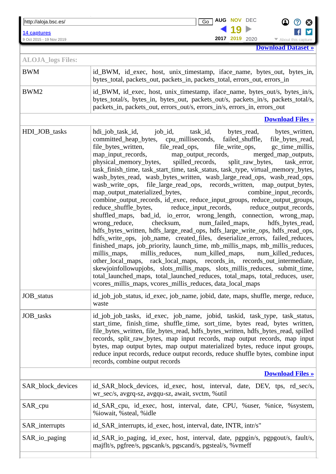http://aloja.bsc.es/ **Go AUG NOV** DEC **Go C G C variation in the summarized variable states of the summarized variable states of the summarized variable states of the summarized variable states of the summarized variable states of the summarized variable states of the** 

9 Oct 2015 - 19 Nov 2019 **2017** 2019 **2017** 2020 **••** About this capture

**[Download Dataset »](https://web.archive.org/web/20191119023906/http://aloja.bsc.es/datasets/aloja-raw.tar.gz) [2017](https://web.archive.org/web/20170803132854/http://aloja.bsc.es:80/) 2019** 2020

**O** 0 8

f

| <b>ALOJA</b> logs Files: |                                                                                                                                                                                                                                                                                                                                                                                                                                                                                                                                                                                                                                                                                                                                                                                                                                                                                                                                                                                                                                                                                                                                                                                                                                                                                                                                                                                                                                                                                                                                                                                       |  |
|--------------------------|---------------------------------------------------------------------------------------------------------------------------------------------------------------------------------------------------------------------------------------------------------------------------------------------------------------------------------------------------------------------------------------------------------------------------------------------------------------------------------------------------------------------------------------------------------------------------------------------------------------------------------------------------------------------------------------------------------------------------------------------------------------------------------------------------------------------------------------------------------------------------------------------------------------------------------------------------------------------------------------------------------------------------------------------------------------------------------------------------------------------------------------------------------------------------------------------------------------------------------------------------------------------------------------------------------------------------------------------------------------------------------------------------------------------------------------------------------------------------------------------------------------------------------------------------------------------------------------|--|
| <b>BWM</b>               | id_BWM, id_exec, host, unix_timestamp, iface_name, bytes_out, bytes_in,<br>bytes_total, packets_out, packets_in, packets_total, errors_out, errors_in                                                                                                                                                                                                                                                                                                                                                                                                                                                                                                                                                                                                                                                                                                                                                                                                                                                                                                                                                                                                                                                                                                                                                                                                                                                                                                                                                                                                                                 |  |
| BWM2                     | id_BWM, id_exec, host, unix_timestamp, iface_name, bytes_out/s, bytes_in/s,<br>bytes_total/s, bytes_in, bytes_out, packets_out/s, packets_in/s, packets_total/s,<br>packets_in, packets_out, errors_out/s, errors_in/s, errors_in, errors_out                                                                                                                                                                                                                                                                                                                                                                                                                                                                                                                                                                                                                                                                                                                                                                                                                                                                                                                                                                                                                                                                                                                                                                                                                                                                                                                                         |  |
|                          | <b>Download Files »</b>                                                                                                                                                                                                                                                                                                                                                                                                                                                                                                                                                                                                                                                                                                                                                                                                                                                                                                                                                                                                                                                                                                                                                                                                                                                                                                                                                                                                                                                                                                                                                               |  |
| HDI_JOB_tasks            | task_id, bytes_read,<br>bytes_written,<br>committed_heap_bytes, cpu_milliseconds, failed_shuffle, file_bytes_read,<br>file_bytes_written, file_read_ops, file_write_ops,<br>gc_time_millis,<br>map_input_records, map_output_records, merged_map_outputs,<br>physical_memory_bytes, spilled_records, split_raw_bytes,<br>task_error,<br>task_finish_time, task_start_time, task_status, task_type, virtual_memory_bytes,<br>wasb_bytes_read, wasb_bytes_written, wasb_large_read_ops, wasb_read_ops,<br>file_large_read_ops, records_written, map_output_bytes,<br>wasb write ops,<br>map_output_materialized_bytes,<br>combine_input_records,<br>combine_output_records, id_exec, reduce_input_groups, reduce_output_groups,<br>reduce_shuffle_bytes, reduce_input_records, reduce_output_records,<br>shuffled_maps, bad_id, io_error, wrong_length, connection, wrong_map,<br>wrong_reduce,<br>checksum, num_failed_maps,<br>hdfs_bytes_read,<br>hdfs_bytes_written, hdfs_large_read_ops, hdfs_large_write_ops, hdfs_read_ops,<br>hdfs_write_ops, job_name, created_files, deserialize_errors, failed_reduces,<br>finished_maps, job_priority, launch_time, mb_millis_maps, mb_millis_reduces,<br>millis_reduces, num_killed_maps,<br>millis_maps,<br>num_killed_reduces,<br>other_local_maps, rack_local_maps, records_in, records_out_intermediate,<br>skewjoinfollowupjobs, slots_millis_maps, slots_millis_reduces, submit_time,<br>total_launched_maps, total_launched_reduces, total_maps, total_reduces, user,<br>vcores_millis_maps, vcores_millis_reduces, data_local_maps |  |
| JOB_status               | id_job_job_status, id_exec, job_name, jobid, date, maps, shuffle, merge, reduce,<br>waste                                                                                                                                                                                                                                                                                                                                                                                                                                                                                                                                                                                                                                                                                                                                                                                                                                                                                                                                                                                                                                                                                                                                                                                                                                                                                                                                                                                                                                                                                             |  |
| JOB_tasks                | id_job_job_tasks, id_exec, job_name, jobid, taskid, task_type, task_status,<br>start_time, finish_time, shuffle_time, sort_time, bytes read, bytes written,<br>file_bytes_written, file_bytes_read, hdfs_bytes_written, hdfs_bytes_read, spilled<br>records, split_raw_bytes, map input records, map output records, map input<br>bytes, map output bytes, map output materialized bytes, reduce input groups,<br>reduce input records, reduce output records, reduce shuffle bytes, combine input<br>records, combine output records                                                                                                                                                                                                                                                                                                                                                                                                                                                                                                                                                                                                                                                                                                                                                                                                                                                                                                                                                                                                                                                 |  |
| <b>Download Files »</b>  |                                                                                                                                                                                                                                                                                                                                                                                                                                                                                                                                                                                                                                                                                                                                                                                                                                                                                                                                                                                                                                                                                                                                                                                                                                                                                                                                                                                                                                                                                                                                                                                       |  |
| SAR_block_devices        | id_SAR_block_devices, id_exec, host, interval, date, DEV, tps, rd_sec/s,<br>wr_sec/s, avgrq-sz, avgqu-sz, await, svctm, %util                                                                                                                                                                                                                                                                                                                                                                                                                                                                                                                                                                                                                                                                                                                                                                                                                                                                                                                                                                                                                                                                                                                                                                                                                                                                                                                                                                                                                                                         |  |
| SAR_cpu                  | id_SAR_cpu, id_exec, host, interval, date, CPU, %user, %nice, %system,<br>%iowait, %steal, %idle                                                                                                                                                                                                                                                                                                                                                                                                                                                                                                                                                                                                                                                                                                                                                                                                                                                                                                                                                                                                                                                                                                                                                                                                                                                                                                                                                                                                                                                                                      |  |
| SAR_interrupts           | id_SAR_interrupts, id_exec, host, interval, date, INTR, intr/s"                                                                                                                                                                                                                                                                                                                                                                                                                                                                                                                                                                                                                                                                                                                                                                                                                                                                                                                                                                                                                                                                                                                                                                                                                                                                                                                                                                                                                                                                                                                       |  |
| SAR_io_paging            | id_SAR_io_paging, id_exec, host, interval, date, pgpgin/s, pgpgout/s, fault/s,<br>majflt/s, pgfree/s, pgscank/s, pgscand/s, pgsteal/s, %vmeff                                                                                                                                                                                                                                                                                                                                                                                                                                                                                                                                                                                                                                                                                                                                                                                                                                                                                                                                                                                                                                                                                                                                                                                                                                                                                                                                                                                                                                         |  |

staddev $p_0$ popr $\alpha$ matist $\alpha$